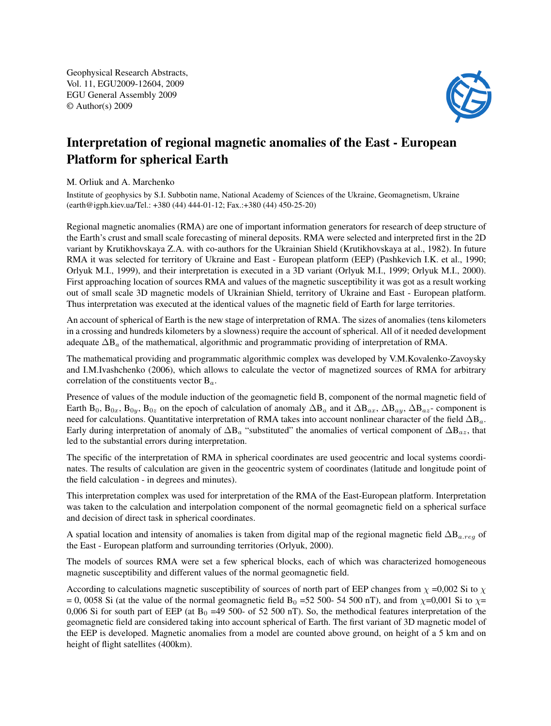Geophysical Research Abstracts, Vol. 11, EGU2009-12604, 2009 EGU General Assembly 2009 © Author(s) 2009



## Interpretation of regional magnetic anomalies of the East - European Platform for spherical Earth

## M. Orliuk and A. Marchenko

Institute of geophysics by S.I. Subbotin name, National Academy of Sciences of the Ukraine, Geomagnetism, Ukraine (earth@igph.kiev.ua/Tel.: +380 (44) 444-01-12; Fax.:+380 (44) 450-25-20)

Regional magnetic anomalies (RMA) are one of important information generators for research of deep structure of the Earth's crust and small scale forecasting of mineral deposits. RMA were selected and interpreted first in the 2D variant by Krutikhovskaya Z.A. with co-authors for the Ukrainian Shield (Krutikhovskaya at al., 1982). In future RMA it was selected for territory of Ukraine and East - European platform (EEP) (Pashkevich I.K. et al., 1990; Orlyuk M.I., 1999), and their interpretation is executed in a 3D variant (Orlyuk M.I., 1999; Orlyuk M.I., 2000). First approaching location of sources RMA and values of the magnetic susceptibility it was got as a result working out of small scale 3D magnetic models of Ukrainian Shield, territory of Ukraine and East - European platform. Thus interpretation was executed at the identical values of the magnetic field of Earth for large territories.

An account of spherical of Earth is the new stage of interpretation of RMA. The sizes of anomalies (tens kilometers in a crossing and hundreds kilometers by a slowness) require the account of spherical. All of it needed development adequate  $\Delta B_a$  of the mathematical, algorithmic and programmatic providing of interpretation of RMA.

The mathematical providing and programmatic algorithmic complex was developed by V.M.Kovalenko-Zavoysky and I.M.Ivashchenko (2006), which allows to calculate the vector of magnetized sources of RMA for arbitrary correlation of the constituents vector  $B_a$ .

Presence of values of the module induction of the geomagnetic field B, component of the normal magnetic field of Earth B<sub>0</sub>, B<sub>0x</sub>, B<sub>0z</sub>, B<sub>0z</sub> on the epoch of calculation of anomaly  $\Delta B_a$  and it  $\Delta B_{ax}$ ,  $\Delta B_{ay}$ ,  $\Delta B_{az}$ - component is need for calculations. Quantitative interpretation of RMA takes into account nonlinear character of the field  $\Delta B_a$ . Early during interpretation of anomaly of  $\Delta B_a$  "substituted" the anomalies of vertical component of  $\Delta B_{az}$ , that led to the substantial errors during interpretation.

The specific of the interpretation of RMA in spherical coordinates are used geocentric and local systems coordinates. The results of calculation are given in the geocentric system of coordinates (latitude and longitude point of the field calculation - in degrees and minutes).

This interpretation complex was used for interpretation of the RMA of the East-European platform. Interpretation was taken to the calculation and interpolation component of the normal geomagnetic field on a spherical surface and decision of direct task in spherical coordinates.

A spatial location and intensity of anomalies is taken from digital map of the regional magnetic field  $\Delta B_{a,reg}$  of the East - European platform and surrounding territories (Orlyuk, 2000).

The models of sources RMA were set a few spherical blocks, each of which was characterized homogeneous magnetic susceptibility and different values of the normal geomagnetic field.

According to calculations magnetic susceptibility of sources of north part of EEP changes from  $\chi$  =0,002 Si to  $\chi$ = 0, 0058 Si (at the value of the normal geomagnetic field B<sub>0</sub> =52 500- 54 500 nT), and from  $\chi$ =0,001 Si to  $\chi$ = 0,006 Si for south part of EEP (at  $B_0$  =49 500- of 52 500 nT). So, the methodical features interpretation of the geomagnetic field are considered taking into account spherical of Earth. The first variant of 3D magnetic model of the EEP is developed. Magnetic anomalies from a model are counted above ground, on height of a 5 km and on height of flight satellites (400km).